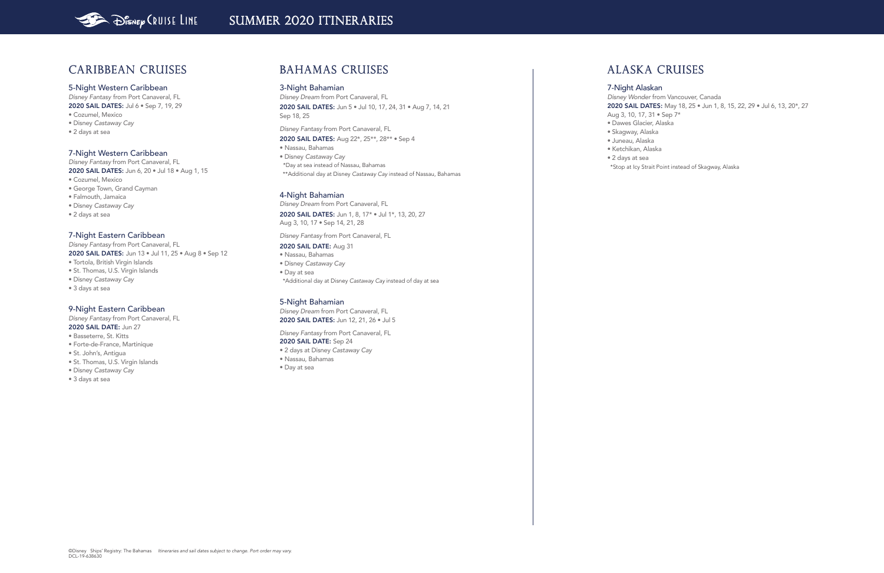## Caribbean Cruises

#### 5-Night Western Caribbean

*Disney Fantasy* from Port Canaveral, FL 2020 SAIL DATES: Jul 6 · Sep 7, 19, 29 • Cozumel, Mexico

*Disney Fantasy* from Port Canaveral, FL 2020 SAIL DATES: Jun 6, 20 · Jul 18 · Aug 1, 15

- Disney *Castaway Cay*
- 
- 2 days at sea

#### 7-Night Western Caribbean

- Cozumel, Mexico
- George Town, Grand Cayman
- Falmouth, Jamaica
- Disney *Castaway Cay*
- 2 days at sea

### 7-Night Eastern Caribbean

*Disney Fantasy* from Port Canaveral, FL 2020 SAIL DATES: Jun 13 • Jul 11, 25 • Aug 8 • Sep 12 • Tortola, British Virgin Islands

- St. Thomas, U.S. Virgin Islands
- Disney *Castaway Cay*
- 
- 3 days at sea

#### 9-Night Eastern Caribbean

*Disney Fantasy* from Port Canaveral, FL 2020 SAIL DATE: Jun 27

- Basseterre, St. Kitts
- Forte-de-France, Martinique
- St. John's, Antigua
- St. Thomas, U.S. Virgin Islands
- Disney *Castaway Cay*
- 3 days at sea

*Disney Dream* from Port Canaveral, FL 2020 SAIL DATES: Jun 12, 21, 26 · Jul 5

## BAHAMAS Cruises

### 3-Night Bahamian

*Disney Dream* from Port Canaveral, FL 2020 SAIL DATES: Jun 5 • Jul 10, 17, 24, 31 • Aug 7, 14, 21 Sep 18, 25

*Disney Fantasy* from Port Canaveral, FL

2020 SAIL DATES: Aug 22\*, 25\*\*, 28\*\* • Sep 4

• Nassau, Bahamas

• Disney *Castaway Cay* \*Day at sea instead of Nassau, Bahamas

\*\*Additional day at Disney *Castaway Cay* instead of Nassau, Bahamas

#### 4-Night Bahamian

*Disney Dream* from Port Canaveral, FL 2020 SAIL DATES: Jun 1, 8, 17\* • Jul 1\*, 13, 20, 27 Aug 3, 10, 17 • Sep 14, 21, 28

*Disney Fantasy* from Port Canaveral, FL

#### 2020 SAIL DATE: Aug 31

- Nassau, Bahamas • Disney *Castaway Cay*
- Day at sea
- \*Additional day at Disney *Castaway Cay* instead of day at sea

#### 5-Night Bahamian

*Disney Fantasy* from Port Canaveral, FL

#### 2020 SAIL DATE: Sep 24

- 2 days at Disney *Castaway Cay*
- Nassau, Bahamas
- Day at sea

## ALASKA Cruises

# 7-Night Alaskan

*Disney Wonder* from Vancouver, Canada 2020 SAIL DATES: May 18, 25 · Jun 1, 8, 15, 22, 29 · Jul 6, 13, 20\*, 27 Aug 3, 10, 17, 31 • Sep 7\* • Dawes Glacier, Alaska

- 
- 
- Skagway, Alaska • Juneau, Alaska
- Ketchikan, Alaska
- 2 days at sea

\*Stop at Icy Strait Point instead of Skagway, Alaska